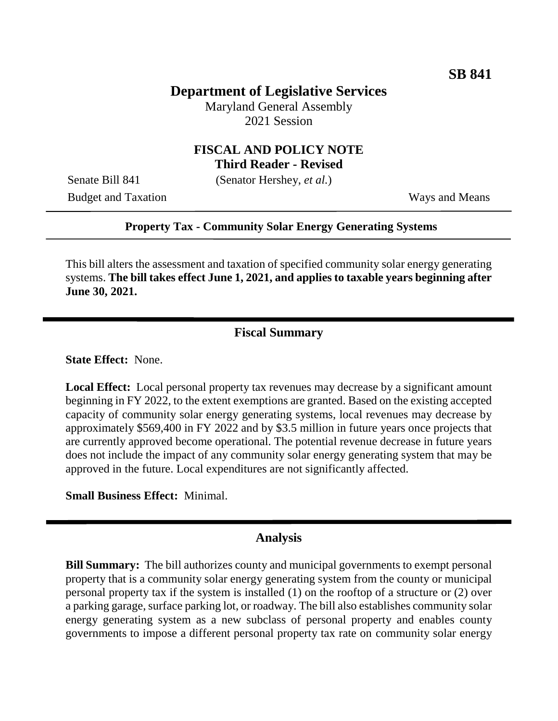# **Department of Legislative Services**

Maryland General Assembly 2021 Session

### **FISCAL AND POLICY NOTE Third Reader - Revised**

Senate Bill 841 (Senator Hershey, *et al.*)

Budget and Taxation Ways and Means

#### **Property Tax - Community Solar Energy Generating Systems**

This bill alters the assessment and taxation of specified community solar energy generating systems. **The bill takes effect June 1, 2021, and applies to taxable years beginning after June 30, 2021.**

# **Fiscal Summary**

**State Effect:** None.

**Local Effect:** Local personal property tax revenues may decrease by a significant amount beginning in FY 2022, to the extent exemptions are granted. Based on the existing accepted capacity of community solar energy generating systems, local revenues may decrease by approximately \$569,400 in FY 2022 and by \$3.5 million in future years once projects that are currently approved become operational. The potential revenue decrease in future years does not include the impact of any community solar energy generating system that may be approved in the future. Local expenditures are not significantly affected.

**Small Business Effect:** Minimal.

#### **Analysis**

**Bill Summary:** The bill authorizes county and municipal governments to exempt personal property that is a community solar energy generating system from the county or municipal personal property tax if the system is installed (1) on the rooftop of a structure or (2) over a parking garage, surface parking lot, or roadway. The bill also establishes community solar energy generating system as a new subclass of personal property and enables county governments to impose a different personal property tax rate on community solar energy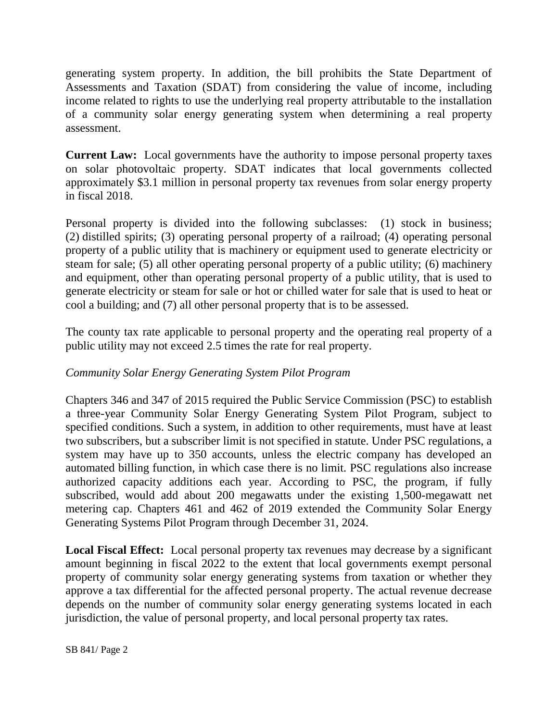generating system property. In addition, the bill prohibits the State Department of Assessments and Taxation (SDAT) from considering the value of income, including income related to rights to use the underlying real property attributable to the installation of a community solar energy generating system when determining a real property assessment.

**Current Law:** Local governments have the authority to impose personal property taxes on solar photovoltaic property. SDAT indicates that local governments collected approximately \$3.1 million in personal property tax revenues from solar energy property in fiscal 2018.

Personal property is divided into the following subclasses: (1) stock in business; (2) distilled spirits; (3) operating personal property of a railroad; (4) operating personal property of a public utility that is machinery or equipment used to generate electricity or steam for sale; (5) all other operating personal property of a public utility; (6) machinery and equipment, other than operating personal property of a public utility, that is used to generate electricity or steam for sale or hot or chilled water for sale that is used to heat or cool a building; and (7) all other personal property that is to be assessed.

The county tax rate applicable to personal property and the operating real property of a public utility may not exceed 2.5 times the rate for real property.

## *Community Solar Energy Generating System Pilot Program*

Chapters 346 and 347 of 2015 required the Public Service Commission (PSC) to establish a three-year Community Solar Energy Generating System Pilot Program, subject to specified conditions. Such a system, in addition to other requirements, must have at least two subscribers, but a subscriber limit is not specified in statute. Under PSC regulations, a system may have up to 350 accounts, unless the electric company has developed an automated billing function, in which case there is no limit. PSC regulations also increase authorized capacity additions each year. According to PSC, the program, if fully subscribed, would add about 200 megawatts under the existing 1,500-megawatt net metering cap. Chapters 461 and 462 of 2019 extended the Community Solar Energy Generating Systems Pilot Program through December 31, 2024.

**Local Fiscal Effect:** Local personal property tax revenues may decrease by a significant amount beginning in fiscal 2022 to the extent that local governments exempt personal property of community solar energy generating systems from taxation or whether they approve a tax differential for the affected personal property. The actual revenue decrease depends on the number of community solar energy generating systems located in each jurisdiction, the value of personal property, and local personal property tax rates.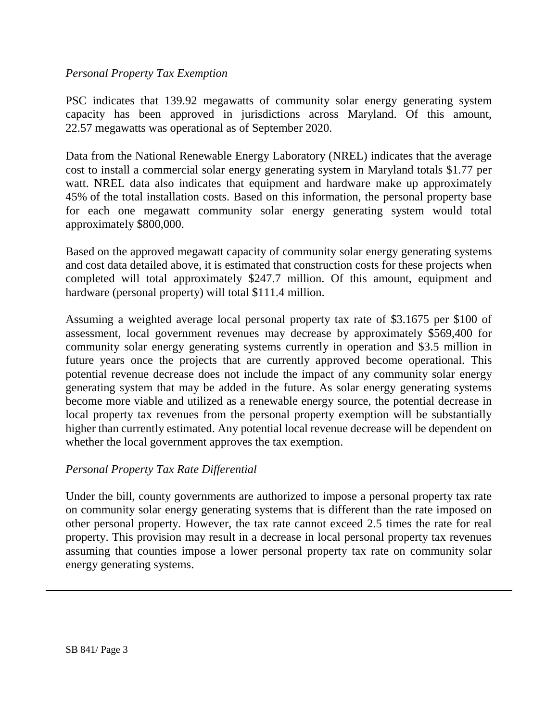### *Personal Property Tax Exemption*

PSC indicates that 139.92 megawatts of community solar energy generating system capacity has been approved in jurisdictions across Maryland. Of this amount, 22.57 megawatts was operational as of September 2020.

Data from the National Renewable Energy Laboratory (NREL) indicates that the average cost to install a commercial solar energy generating system in Maryland totals \$1.77 per watt. NREL data also indicates that equipment and hardware make up approximately 45% of the total installation costs. Based on this information, the personal property base for each one megawatt community solar energy generating system would total approximately \$800,000.

Based on the approved megawatt capacity of community solar energy generating systems and cost data detailed above, it is estimated that construction costs for these projects when completed will total approximately \$247.7 million. Of this amount, equipment and hardware (personal property) will total \$111.4 million.

Assuming a weighted average local personal property tax rate of \$3.1675 per \$100 of assessment, local government revenues may decrease by approximately \$569,400 for community solar energy generating systems currently in operation and \$3.5 million in future years once the projects that are currently approved become operational. This potential revenue decrease does not include the impact of any community solar energy generating system that may be added in the future. As solar energy generating systems become more viable and utilized as a renewable energy source, the potential decrease in local property tax revenues from the personal property exemption will be substantially higher than currently estimated. Any potential local revenue decrease will be dependent on whether the local government approves the tax exemption.

### *Personal Property Tax Rate Differential*

Under the bill, county governments are authorized to impose a personal property tax rate on community solar energy generating systems that is different than the rate imposed on other personal property. However, the tax rate cannot exceed 2.5 times the rate for real property. This provision may result in a decrease in local personal property tax revenues assuming that counties impose a lower personal property tax rate on community solar energy generating systems.